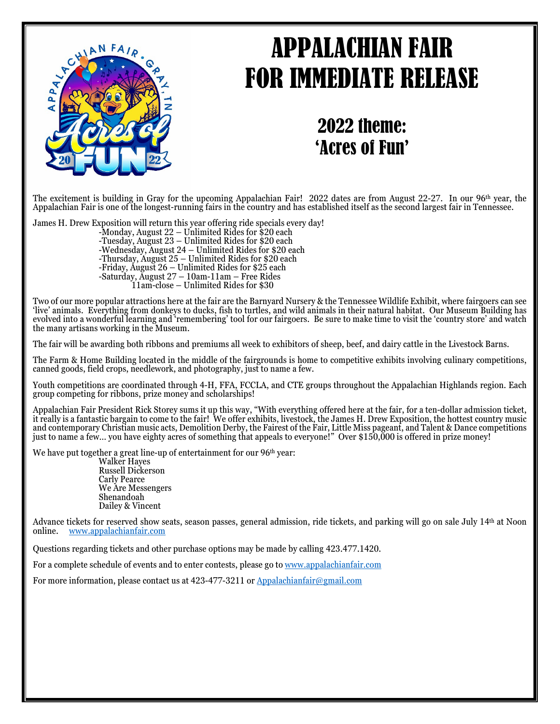## APPALACHIAN FAIR FOR IMMEDIATE RELEASE



## 2022 theme: 'Acres of Fun'

The excitement is building in Gray for the upcoming Appalachian Fair! 2022 dates are from August 22-27. In our 96th year, the Appalachian Fair is one of the longest-running fairs in the country and has established itself as the second largest fair in Tennessee.

James H. Drew Exposition will return this year offering ride specials every day!<br>-Monday, August 22 - Unlimited Rides for \$20 each<br>-Tuesday, August 23 - Unlimited Rides for \$20 each<br>-Wednesday, August 24 - Unlimited Rides

11am-close – Unlimited Rides for \$30

Two of our more popular attractions here at the fair are the Barnyard Nursery & the Tennessee Wildlife Exhibit, where fairgoers can see 'live' animals. Everything from donkeys to ducks, fish to turtles, and wild animals in their natural habitat. Our Museum Building has evolved into a wonderful learning and 'remembering' tool for our fairgoers. Be sure to make time to visit the 'country store' and watch the many artisans working in the Museum.

The fair will be awarding both ribbons and premiums all week to exhibitors of sheep, beef, and dairy cattle in the Livestock Barns.

The Farm & Home Building located in the middle of the fairgrounds is home to competitive exhibits involving culinary competitions, canned goods, field crops, needlework, and photography, just to name a few.

Youth competitions are coordinated through 4-H, FFA, FCCLA, and CTE groups throughout the Appalachian Highlands region. Each group competing for ribbons, prize money and scholarships!

Appalachian Fair President Rick Storey sums it up this way, "With everything offered here at the fair, for a ten-dollar admission ticket, it really is a fantastic bargain to come to the fair! We offer exhibits, livestock, the James H. Drew Exposition, the hottest country music and contemporary Christian music acts, Demolition Derby, the Fairest of the Fair, Little Miss pageant, and Talent & Dance competitions just to name a few… you have eighty acres of something that appeals to everyone!" Over \$150,000 is offered in prize money!

We have put together a great line-up of entertainment for our 96<sup>th</sup> year:

Walker Hayes Russell Dickerson Carly Pearce We Are Messengers Shenandoah Dailey & Vincent

Advance tickets for reserved show seats, season passes, general admission, ride tickets, and parking will go on sale July 14<sup>th</sup> at Noon online.<br>
www.appalachianfair.com [www.appalachianfair.com](http://www.appalachianfair.com/)

Questions regarding tickets and other purchase options may be made by calling 423.477.1420.

For a complete schedule of events and to enter contests, please go to [www.appalachianfair.com](http://www.appalachianfair.com/)

For more information, please contact us at  $423-477-3211$  or Appalachianfair  $\mathcal{Q}_{g}{g}$  and  $\mathcal{Q}_{g}$ .